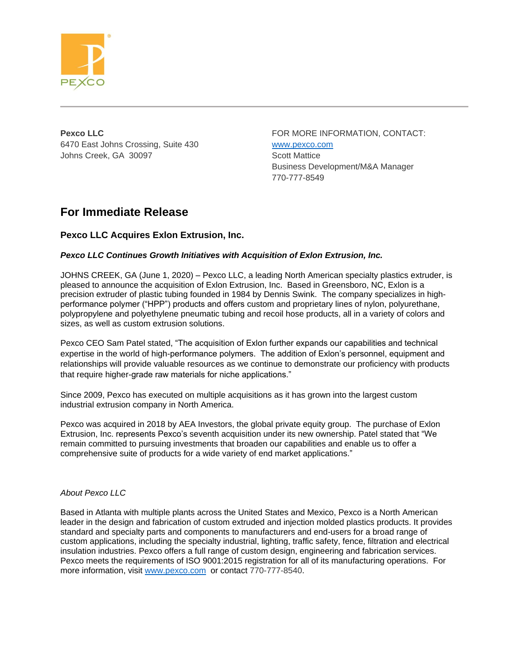

6470 East Johns Crossing, Suite 430 [www.pexco.com](http://www.pexco.com/) Johns Creek, GA 30097 Scott Mattice

**Pexco LLC FOR MORE INFORMATION, CONTACT:** Business Development/M&A Manager 770-777-8549

# **For Immediate Release**

# **Pexco LLC Acquires Exlon Extrusion, Inc.**

## *Pexco LLC Continues Growth Initiatives with Acquisition of Exlon Extrusion, Inc.*

JOHNS CREEK, GA (June 1, 2020) *–* Pexco LLC, a leading North American specialty plastics extruder, is pleased to announce the acquisition of Exlon Extrusion, Inc. Based in Greensboro, NC, Exlon is a precision extruder of plastic tubing founded in 1984 by Dennis Swink. The company specializes in highperformance polymer ("HPP") products and offers custom and proprietary lines of nylon, polyurethane, polypropylene and polyethylene pneumatic tubing and recoil hose products, all in a variety of colors and sizes, as well as custom extrusion solutions.

Pexco CEO Sam Patel stated, "The acquisition of Exlon further expands our capabilities and technical expertise in the world of high-performance polymers. The addition of Exlon's personnel, equipment and relationships will provide valuable resources as we continue to demonstrate our proficiency with products that require higher-grade raw materials for niche applications."

Since 2009, Pexco has executed on multiple acquisitions as it has grown into the largest custom industrial extrusion company in North America.

Pexco was acquired in 2018 by AEA Investors, the global private equity group. The purchase of Exlon Extrusion, Inc. represents Pexco's seventh acquisition under its new ownership. Patel stated that "We remain committed to pursuing investments that broaden our capabilities and enable us to offer a comprehensive suite of products for a wide variety of end market applications."

#### *About Pexco LLC*

Based in Atlanta with multiple plants across the United States and Mexico, Pexco is a North American leader in the design and fabrication of custom extruded and injection molded plastics products. It provides standard and specialty parts and components to manufacturers and end-users for a broad range of custom applications, including the specialty industrial, lighting, traffic safety, fence, filtration and electrical insulation industries. Pexco offers a full range of custom design, engineering and fabrication services. Pexco meets the requirements of ISO 9001:2015 registration for all of its manufacturing operations. For more information, visit [www.pexco.com](http://www.pexco.com/) or contact 770-777-8540.